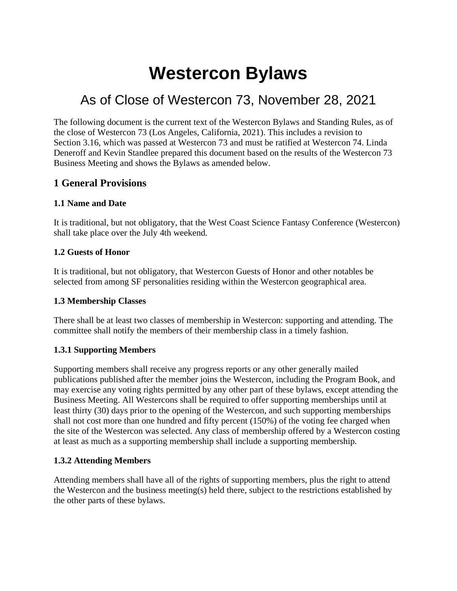# **Westercon Bylaws**

# As of Close of Westercon 73, November 28, 2021

The following document is the current text of the Westercon Bylaws and Standing Rules, as of the close of Westercon 73 (Los Angeles, California, 2021). This includes a revision to Section 3.16, which was passed at Westercon 73 and must be ratified at Westercon 74. Linda Deneroff and Kevin Standlee prepared this document based on the results of the Westercon 73 Business Meeting and shows the Bylaws as amended below.

# **1 General Provisions**

#### **1.1 Name and Date**

It is traditional, but not obligatory, that the West Coast Science Fantasy Conference (Westercon) shall take place over the July 4th weekend.

#### **1.2 Guests of Honor**

It is traditional, but not obligatory, that Westercon Guests of Honor and other notables be selected from among SF personalities residing within the Westercon geographical area.

#### **1.3 Membership Classes**

There shall be at least two classes of membership in Westercon: supporting and attending. The committee shall notify the members of their membership class in a timely fashion.

# **1.3.1 Supporting Members**

Supporting members shall receive any progress reports or any other generally mailed publications published after the member joins the Westercon, including the Program Book, and may exercise any voting rights permitted by any other part of these bylaws, except attending the Business Meeting. All Westercons shall be required to offer supporting memberships until at least thirty (30) days prior to the opening of the Westercon, and such supporting memberships shall not cost more than one hundred and fifty percent (150%) of the voting fee charged when the site of the Westercon was selected. Any class of membership offered by a Westercon costing at least as much as a supporting membership shall include a supporting membership.

#### **1.3.2 Attending Members**

Attending members shall have all of the rights of supporting members, plus the right to attend the Westercon and the business meeting(s) held there, subject to the restrictions established by the other parts of these bylaws.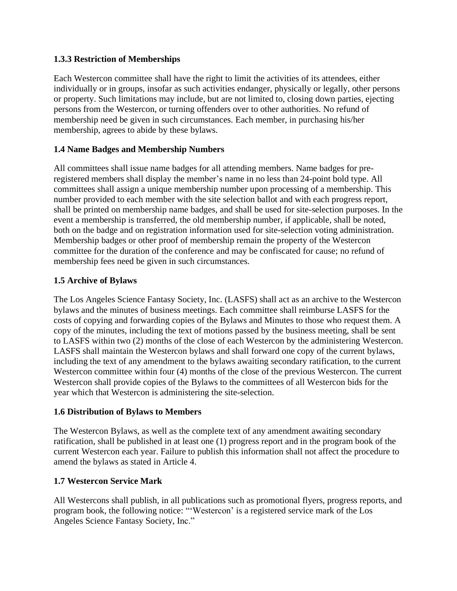#### **1.3.3 Restriction of Memberships**

Each Westercon committee shall have the right to limit the activities of its attendees, either individually or in groups, insofar as such activities endanger, physically or legally, other persons or property. Such limitations may include, but are not limited to, closing down parties, ejecting persons from the Westercon, or turning offenders over to other authorities. No refund of membership need be given in such circumstances. Each member, in purchasing his/her membership, agrees to abide by these bylaws.

#### **1.4 Name Badges and Membership Numbers**

All committees shall issue name badges for all attending members. Name badges for preregistered members shall display the member's name in no less than 24-point bold type. All committees shall assign a unique membership number upon processing of a membership. This number provided to each member with the site selection ballot and with each progress report, shall be printed on membership name badges, and shall be used for site-selection purposes. In the event a membership is transferred, the old membership number, if applicable, shall be noted, both on the badge and on registration information used for site-selection voting administration. Membership badges or other proof of membership remain the property of the Westercon committee for the duration of the conference and may be confiscated for cause; no refund of membership fees need be given in such circumstances.

#### <span id="page-1-0"></span>**1.5 Archive of Bylaws**

The Los Angeles Science Fantasy Society, Inc. (LASFS) shall act as an archive to the Westercon bylaws and the minutes of business meetings. Each committee shall reimburse LASFS for the costs of copying and forwarding copies of the Bylaws and Minutes to those who request them. A copy of the minutes, including the text of motions passed by the business meeting, shall be sent to LASFS within two (2) months of the close of each Westercon by the administering Westercon. LASFS shall maintain the Westercon bylaws and shall forward one copy of the current bylaws, including the text of any amendment to the bylaws awaiting secondary ratification, to the current Westercon committee within four (4) months of the close of the previous Westercon. The current Westercon shall provide copies of the Bylaws to the committees of all Westercon bids for the year which that Westercon is administering the site-selection.

#### **1.6 Distribution of Bylaws to Members**

The Westercon Bylaws, as well as the complete text of any amendment awaiting secondary ratification, shall be published in at least one (1) progress report and in the program book of the current Westercon each year. Failure to publish this information shall not affect the procedure to amend the bylaws as stated in Article 4.

# **1.7 Westercon Service Mark**

All Westercons shall publish, in all publications such as promotional flyers, progress reports, and program book, the following notice: "'Westercon' is a registered service mark of the Los Angeles Science Fantasy Society, Inc."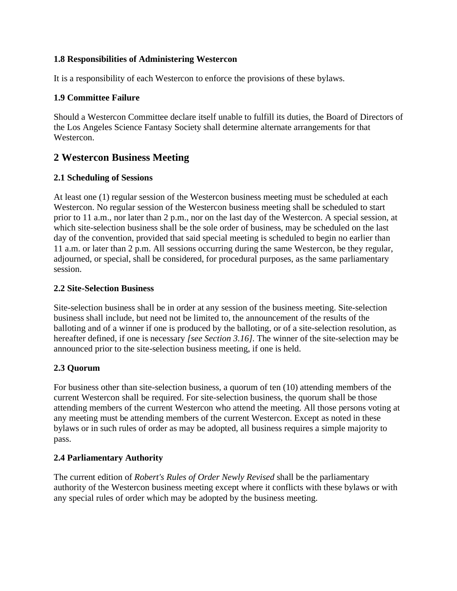#### **1.8 Responsibilities of Administering Westercon**

It is a responsibility of each Westercon to enforce the provisions of these bylaws.

#### <span id="page-2-0"></span>**1.9 Committee Failure**

Should a Westercon Committee declare itself unable to fulfill its duties, the Board of Directors of the Los Angeles Science Fantasy Society shall determine alternate arrangements for that Westercon.

# **2 Westercon Business Meeting**

#### **2.1 Scheduling of Sessions**

At least one (1) regular session of the Westercon business meeting must be scheduled at each Westercon. No regular session of the Westercon business meeting shall be scheduled to start prior to 11 a.m., nor later than 2 p.m., nor on the last day of the Westercon. A special session, at which site-selection business shall be the sole order of business, may be scheduled on the last day of the convention, provided that said special meeting is scheduled to begin no earlier than 11 a.m. or later than 2 p.m. All sessions occurring during the same Westercon, be they regular, adjourned, or special, shall be considered, for procedural purposes, as the same parliamentary session.

#### **2.2 Site-Selection Business**

Site-selection business shall be in order at any session of the business meeting. Site-selection business shall include, but need not be limited to, the announcement of the results of the balloting and of a winner if one is produced by the balloting, or of a site-selection resolution, as hereafter defined, if one is necessary *[see Section [3.16\]](#page-6-0)*. The winner of the site-selection may be announced prior to the site-selection business meeting, if one is held.

# **2.3 Quorum**

For business other than site-selection business, a quorum of ten (10) attending members of the current Westercon shall be required. For site-selection business, the quorum shall be those attending members of the current Westercon who attend the meeting. All those persons voting at any meeting must be attending members of the current Westercon. Except as noted in these bylaws or in such rules of order as may be adopted, all business requires a simple majority to pass.

# **2.4 Parliamentary Authority**

The current edition of *Robert's Rules of Order Newly Revised* shall be the parliamentary authority of the Westercon business meeting except where it conflicts with these bylaws or with any special rules of order which may be adopted by the business meeting.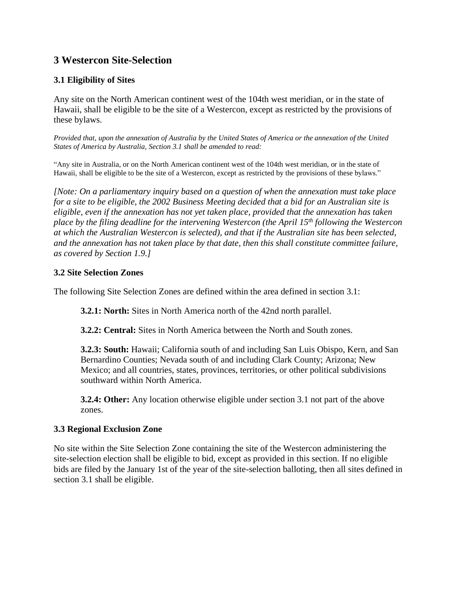# **3 Westercon Site-Selection**

#### <span id="page-3-0"></span>**3.1 Eligibility of Sites**

Any site on the North American continent west of the 104th west meridian, or in the state of Hawaii, shall be eligible to be the site of a Westercon, except as restricted by the provisions of these bylaws.

Provided that, upon the annexation of Australia by the United States of America or the annexation of the United *States of America by Australia, Section 3.1 shall be amended to read:*

"Any site in Australia, or on the North American continent west of the 104th west meridian, or in the state of Hawaii, shall be eligible to be the site of a Westercon, except as restricted by the provisions of these bylaws."

*[Note: On a parliamentary inquiry based on a question of when the annexation must take place* for a site to be eligible, the 2002 Business Meeting decided that a bid for an Australian site is *eligible, even if the annexation has not yet taken place, provided that the annexation has taken place by the filing deadline for the intervening Westercon (the April 15th following the Westercon at which the Australian Westercon is selected), and that if the Australian site has been selected, and the annexation has not taken place by that date, then this shall constitute committee failure, as covered by Section [1.9.](#page-2-0)]*

#### **3.2 Site Selection Zones**

The following Site Selection Zones are defined within the area defined in section 3.1:

**3.2.1: North:** Sites in North America north of the 42nd north parallel.

**3.2.2: Central:** Sites in North America between the North and South zones.

**3.2.3: South:** Hawaii; California south of and including San Luis Obispo, Kern, and San Bernardino Counties; Nevada south of and including Clark County; Arizona; New Mexico; and all countries, states, provinces, territories, or other political subdivisions southward within North America.

**3.2.4: Other:** Any location otherwise eligible under section 3.1 not part of the above zones.

#### **3.3 Regional Exclusion Zone**

No site within the Site Selection Zone containing the site of the Westercon administering the site-selection election shall be eligible to bid, except as provided in this section. If no eligible bids are filed by the January 1st of the year of the site-selection balloting, then all sites defined in section [3.1](#page-3-0) shall be eligible.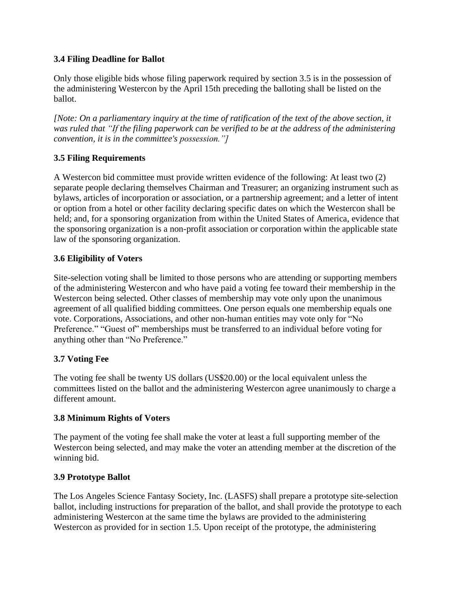#### <span id="page-4-1"></span>**3.4 Filing Deadline for Ballot**

Only those eligible bids whose filing paperwork required by section [3.5](#page-4-0) is in the possession of the administering Westercon by the April 15th preceding the balloting shall be listed on the ballot.

*[Note: On a parliamentary inquiry at the time of ratification of the text of the above section, it was ruled that "If the filing paperwork can be verified to be at the address of the administering convention, it is in the committee's possession."]*

#### <span id="page-4-0"></span>**3.5 Filing Requirements**

A Westercon bid committee must provide written evidence of the following: At least two (2) separate people declaring themselves Chairman and Treasurer; an organizing instrument such as bylaws, articles of incorporation or association, or a partnership agreement; and a letter of intent or option from a hotel or other facility declaring specific dates on which the Westercon shall be held; and, for a sponsoring organization from within the United States of America, evidence that the sponsoring organization is a non-profit association or corporation within the applicable state law of the sponsoring organization.

#### **3.6 Eligibility of Voters**

Site-selection voting shall be limited to those persons who are attending or supporting members of the administering Westercon and who have paid a voting fee toward their membership in the Westercon being selected. Other classes of membership may vote only upon the unanimous agreement of all qualified bidding committees. One person equals one membership equals one vote. Corporations, Associations, and other non-human entities may vote only for "No Preference." "Guest of" memberships must be transferred to an individual before voting for anything other than "No Preference."

# **3.7 Voting Fee**

The voting fee shall be twenty US dollars (US\$20.00) or the local equivalent unless the committees listed on the ballot and the administering Westercon agree unanimously to charge a different amount.

#### **3.8 Minimum Rights of Voters**

The payment of the voting fee shall make the voter at least a full supporting member of the Westercon being selected, and may make the voter an attending member at the discretion of the winning bid.

#### **3.9 Prototype Ballot**

The Los Angeles Science Fantasy Society, Inc. (LASFS) shall prepare a prototype site-selection ballot, including instructions for preparation of the ballot, and shall provide the prototype to each administering Westercon at the same time the bylaws are provided to the administering Westercon as provided for in section [1.5.](#page-1-0) Upon receipt of the prototype, the administering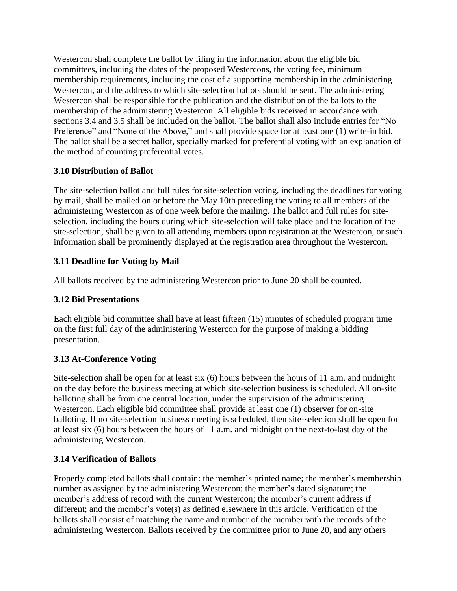Westercon shall complete the ballot by filing in the information about the eligible bid committees, including the dates of the proposed Westercons, the voting fee, minimum membership requirements, including the cost of a supporting membership in the administering Westercon, and the address to which site-selection ballots should be sent. The administering Westercon shall be responsible for the publication and the distribution of the ballots to the membership of the administering Westercon. All eligible bids received in accordance with sections [3.4](#page-4-1) and [3.5](#page-4-0) shall be included on the ballot. The ballot shall also include entries for "No Preference" and "None of the Above," and shall provide space for at least one (1) write-in bid. The ballot shall be a secret ballot, specially marked for preferential voting with an explanation of the method of counting preferential votes.

# **3.10 Distribution of Ballot**

The site-selection ballot and full rules for site-selection voting, including the deadlines for voting by mail, shall be mailed on or before the May 10th preceding the voting to all members of the administering Westercon as of one week before the mailing. The ballot and full rules for siteselection, including the hours during which site-selection will take place and the location of the site-selection, shall be given to all attending members upon registration at the Westercon, or such information shall be prominently displayed at the registration area throughout the Westercon.

# **3.11 Deadline for Voting by Mail**

All ballots received by the administering Westercon prior to June 20 shall be counted.

#### **3.12 Bid Presentations**

Each eligible bid committee shall have at least fifteen (15) minutes of scheduled program time on the first full day of the administering Westercon for the purpose of making a bidding presentation.

# **3.13 At-Conference Voting**

Site-selection shall be open for at least six (6) hours between the hours of 11 a.m. and midnight on the day before the business meeting at which site-selection business is scheduled. All on-site balloting shall be from one central location, under the supervision of the administering Westercon. Each eligible bid committee shall provide at least one (1) observer for on-site balloting. If no site-selection business meeting is scheduled, then site-selection shall be open for at least six (6) hours between the hours of 11 a.m. and midnight on the next-to-last day of the administering Westercon.

# **3.14 Verification of Ballots**

Properly completed ballots shall contain: the member's printed name; the member's membership number as assigned by the administering Westercon; the member's dated signature; the member's address of record with the current Westercon; the member's current address if different; and the member's vote(s) as defined elsewhere in this article. Verification of the ballots shall consist of matching the name and number of the member with the records of the administering Westercon. Ballots received by the committee prior to June 20, and any others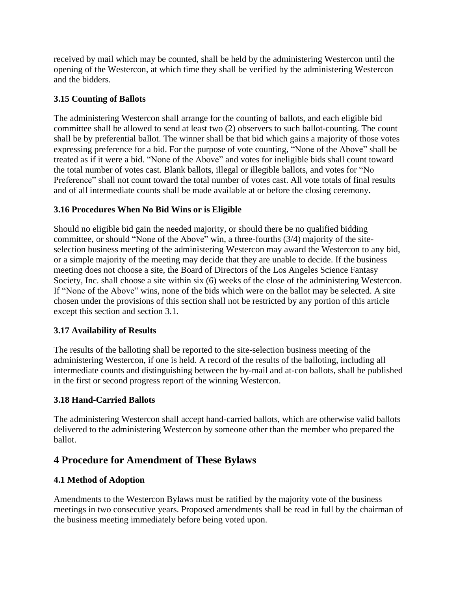received by mail which may be counted, shall be held by the administering Westercon until the opening of the Westercon, at which time they shall be verified by the administering Westercon and the bidders.

#### **3.15 Counting of Ballots**

The administering Westercon shall arrange for the counting of ballots, and each eligible bid committee shall be allowed to send at least two (2) observers to such ballot-counting. The count shall be by preferential ballot. The winner shall be that bid which gains a majority of those votes expressing preference for a bid. For the purpose of vote counting, "None of the Above" shall be treated as if it were a bid. "None of the Above" and votes for ineligible bids shall count toward the total number of votes cast. Blank ballots, illegal or illegible ballots, and votes for "No Preference" shall not count toward the total number of votes cast. All vote totals of final results and of all intermediate counts shall be made available at or before the closing ceremony.

#### <span id="page-6-0"></span>**3.16 Procedures When No Bid Wins or is Eligible**

Should no eligible bid gain the needed majority, or should there be no qualified bidding committee, or should "None of the Above" win, a three-fourths (3/4) majority of the siteselection business meeting of the administering Westercon may award the Westercon to any bid, or a simple majority of the meeting may decide that they are unable to decide. If the business meeting does not choose a site, the Board of Directors of the Los Angeles Science Fantasy Society, Inc. shall choose a site within six (6) weeks of the close of the administering Westercon. If "None of the Above" wins, none of the bids which were on the ballot may be selected. A site chosen under the provisions of this section shall not be restricted by any portion of this article except this section and section [3.1.](#page-3-0)

#### **3.17 Availability of Results**

The results of the balloting shall be reported to the site-selection business meeting of the administering Westercon, if one is held. A record of the results of the balloting, including all intermediate counts and distinguishing between the by-mail and at-con ballots, shall be published in the first or second progress report of the winning Westercon.

#### **3.18 Hand-Carried Ballots**

The administering Westercon shall accept hand-carried ballots, which are otherwise valid ballots delivered to the administering Westercon by someone other than the member who prepared the ballot.

# **4 Procedure for Amendment of These Bylaws**

#### **4.1 Method of Adoption**

Amendments to the Westercon Bylaws must be ratified by the majority vote of the business meetings in two consecutive years. Proposed amendments shall be read in full by the chairman of the business meeting immediately before being voted upon.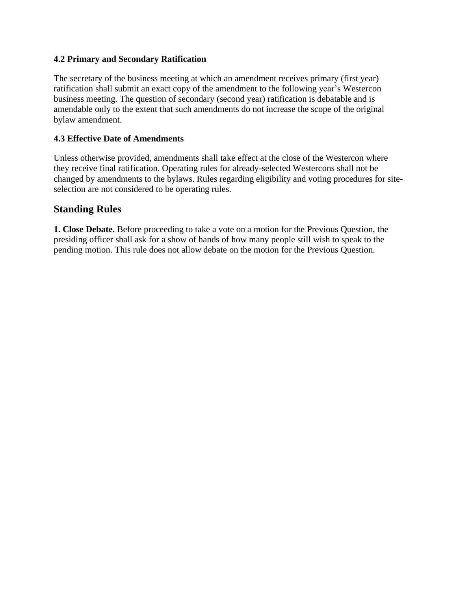#### **4.2 Primary and Secondary Ratification**

The secretary of the business meeting at which an amendment receives primary (first year) ratification shall submit an exact copy of the amendment to the following year's Westercon business meeting. The question of secondary (second year) ratification is debatable and is amendable only to the extent that such amendments do not increase the scope of the original bylaw amendment.

#### **4.3 Effective Date of Amendments**

Unless otherwise provided, amendments shall take effect at the close of the Westercon where they receive final ratification. Operating rules for already-selected Westercons shall not be changed by amendments to the bylaws. Rules regarding eligibility and voting procedures for siteselection are not considered to be operating rules.

#### **Standing Rules**

**1. Close Debate.** Before proceeding to take a vote on a motion for the Previous Question, the presiding officer shall ask for a show of hands of how many people still wish to speak to the pending motion. This rule does not allow debate on the motion for the Previous Question.